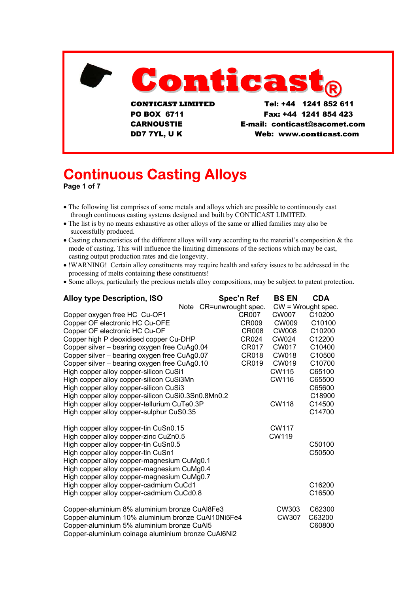

CARNOUSTIE E-mail: conticast@sacomet.com DD7 7YL, U K Web: www.conticast.com

# **Continuous Casting Alloys**

**Page 1 of 7** 

- The following list comprises of some metals and alloys which are possible to continuously cast through continuous casting systems designed and built by CONTICAST LIMITED.
- The list is by no means exhaustive as other alloys of the same or allied families may also be successfully produced.
- Casting characteristics of the different alloys will vary according to the material's composition & the mode of casting. This will influence the limiting dimensions of the sections which may be cast, casting output production rates and die longevity.
- !WARNING! Certain alloy constituents may require health and safety issues to be addressed in the processing of melts containing these constituents!
- Some alloys, particularly the precious metals alloy compositions, may be subject to patent protection.

| <b>Alloy type Description, ISO</b>                                             | Spec'n Ref              | <b>BS EN</b>         | <b>CDA</b> |
|--------------------------------------------------------------------------------|-------------------------|----------------------|------------|
|                                                                                | Note CR=unwrought spec. | $CW = Wrought spec.$ |            |
| Copper oxygen free HC Cu-OF1                                                   | CR007                   | CW007                | C10200     |
| Copper OF electronic HC Cu-OFE                                                 | <b>CR009</b>            | <b>CW009</b>         | C10100     |
| Copper OF electronic HC Cu-OF                                                  | <b>CR008</b>            | <b>CW008</b>         | C10200     |
| Copper high P deoxidised copper Cu-DHP                                         | CR024                   | <b>CW024</b>         | C12200     |
| Copper silver - bearing oxygen free CuAg0.04                                   | CR017                   | CW017                | C10400     |
| Copper silver - bearing oxygen free CuAg0.07                                   | CR018                   | <b>CW018</b>         | C10500     |
| Copper silver - bearing oxygen free CuAg0.10                                   | CR019                   | CW019                | C10700     |
| High copper alloy copper-silicon CuSi1                                         |                         | CW115                | C65100     |
| High copper alloy copper-silicon CuSi3Mn                                       |                         | <b>CW116</b>         | C65500     |
| High copper alloy copper-silicon CuSi3                                         |                         |                      | C65600     |
| High copper alloy copper-silicon CuSi0.3Sn0.8Mn0.2                             |                         |                      | C18900     |
| High copper alloy copper-tellurium CuTe0.3P                                    |                         | <b>CW118</b>         | C14500     |
| High copper alloy copper-sulphur CuS0.35                                       |                         |                      | C14700     |
|                                                                                |                         | <b>CW117</b>         |            |
| High copper alloy copper-tin CuSn0.15<br>High copper alloy copper-zinc CuZn0.5 |                         | <b>CW119</b>         |            |
| High copper alloy copper-tin CuSn0.5                                           |                         |                      | C50100     |
| High copper alloy copper-tin CuSn1                                             |                         |                      | C50500     |
| High copper alloy copper-magnesium CuMg0.1                                     |                         |                      |            |
| High copper alloy copper-magnesium CuMg0.4                                     |                         |                      |            |
| High copper alloy copper-magnesium CuMg0.7                                     |                         |                      |            |
| High copper alloy copper-cadmium CuCd1                                         |                         |                      | C16200     |
|                                                                                |                         |                      | C16500     |
| High copper alloy copper-cadmium CuCd0.8                                       |                         |                      |            |
| Copper-aluminium 8% aluminium bronze CuAl8Fe3                                  |                         | CW303                | C62300     |
| Copper-aluminium 10% aluminium bronze CuAl10Ni5Fe4                             |                         | CW307                | C63200     |
| Copper-aluminium 5% aluminium bronze CuAl5                                     |                         |                      | C60800     |
| Copper-aluminium coinage aluminium bronze CuAl6Ni2                             |                         |                      |            |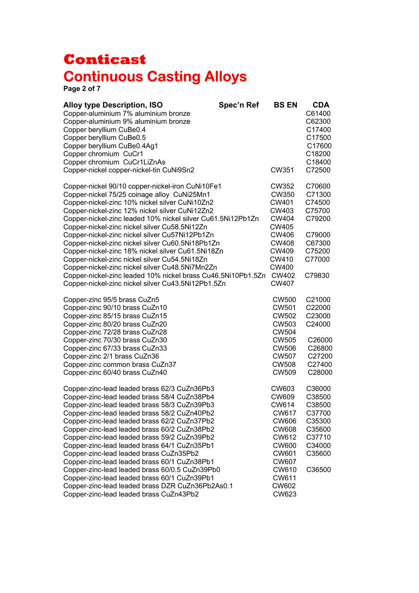**Page 2 of 7** 

| <b>Alloy type Description, ISO</b><br>Copper-aluminium 7% aluminium bronze<br>Copper-aluminium 9% aluminium bronze<br>Copper beryllium CuBe0.4<br>Copper beryllium CuBe0.5<br>Copper beryllium CuBe0.4Ag1<br>Copper chromium CuCr1<br>Copper chromium CuCr1LiZnAs                                                                                                                                                                                                                                                                                                                                                                                                                        | Spec'n Ref | <b>BS EN</b>                                                                                                                                                         | <b>CDA</b><br>C61400<br>C62300<br>C17400<br>C17500<br>C17600<br>C18200<br>C18400                 |
|------------------------------------------------------------------------------------------------------------------------------------------------------------------------------------------------------------------------------------------------------------------------------------------------------------------------------------------------------------------------------------------------------------------------------------------------------------------------------------------------------------------------------------------------------------------------------------------------------------------------------------------------------------------------------------------|------------|----------------------------------------------------------------------------------------------------------------------------------------------------------------------|--------------------------------------------------------------------------------------------------|
| Copper-nickel copper-nickel-tin CuNi9Sn2                                                                                                                                                                                                                                                                                                                                                                                                                                                                                                                                                                                                                                                 |            | CW351                                                                                                                                                                | C72500                                                                                           |
| Copper-nickel 90/10 copper-nickel-iron CuNi10Fe1<br>Copper-nickel 75/25 coinage alloy CuNi25Mn1<br>Copper-nickel-zinc 10% nickel silver CuNi10Zn2<br>Copper-nickel-zinc 12% nickel silver CuNi12Zn2<br>Copper-nickel-zinc leaded 10% nickel silver Cu61.5Ni12Pb1Zn<br>Copper-nickel-zinc nickel silver Cu58.5Ni12Zn<br>Copper-nickel-zinc nickel silver Cu57Ni12Pb1Zn<br>Copper-nickel-zinc nickel silver Cu60.5Ni18Pb1Zn<br>Copper-nickel-zinc 18% nickel silver Cu61.5Ni18Zn<br>Copper-nickel-zinc nickel silver Cu54.5Ni18Zn                                                                                                                                                          |            | <b>CW352</b><br>CW350<br>CW401<br>CW403<br><b>CW404</b><br>CW405<br><b>CW406</b><br><b>CW408</b><br>CW409<br>CW410                                                   | C70600<br>C71300<br>C74500<br>C75700<br>C79200<br>C79000<br>C67300<br>C75200<br>C77000           |
| Copper-nickel-zinc nickel silver Cu48.5Ni7Mn2Zn<br>Copper-nickel-zinc leaded 10% nickel brass Cu46.5Ni10Pb1.5Zn<br>Copper-nickel-zinc nickel silver Cu43.5Ni12Pb1.5Zn                                                                                                                                                                                                                                                                                                                                                                                                                                                                                                                    |            | CW400<br><b>CW402</b><br><b>CW407</b>                                                                                                                                | C79830                                                                                           |
| Copper-zinc 95/5 brass CuZn5<br>Copper-zinc 90/10 brass CuZn10<br>Copper-zinc 85/15 brass CuZn15<br>Copper-zinc 80/20 brass CuZn20<br>Copper-zinc 72/28 brass CuZn28<br>Copper-zinc 70/30 brass CuZn30<br>Copper-zinc 67/33 brass CuZn33<br>Copper-zinc 2/1 brass CuZn36<br>Copper-zinc common brass CuZn37<br>Copper-zinc 60/40 brass CuZn40                                                                                                                                                                                                                                                                                                                                            |            | <b>CW500</b><br><b>CW501</b><br><b>CW502</b><br>CW503<br><b>CW504</b><br><b>CW505</b><br><b>CW506</b><br><b>CW507</b><br><b>CW508</b><br><b>CW509</b>                | C21000<br>C22000<br>C23000<br>C24000<br>C26000<br>C26800<br>C27200<br>C27400<br>C28000           |
| Copper-zinc-lead leaded brass 62/3 CuZn36Pb3<br>Copper-zinc-lead leaded brass 58/4 CuZn38Pb4<br>Copper-zinc-lead leaded brass 58/3 CuZn39Pb3<br>Copper-zinc-lead leaded brass 58/2 CuZn40Pb2<br>Copper-zinc-lead leaded brass 62/2 CuZn37Pb2<br>Copper-zinc-lead leaded brass 60/2 CuZn38Pb2<br>Copper-zinc-lead leaded brass 59/2 CuZn39Pb2<br>Copper-zinc-lead leaded brass 64/1 CuZn35Pb1<br>Copper-zinc-lead leaded brass CuZn35Pb2<br>Copper-zinc-lead leaded brass 60/1 CuZn38Pb1<br>Copper-zinc-lead leaded brass 60/0.5 CuZn39Pb0<br>Copper-zinc-lead leaded brass 60/1 CuZn39Pb1<br>Copper-zinc-lead leaded brass DZR CuZn36Pb2As0.1<br>Copper-zinc-lead leaded brass CuZn43Pb2 |            | CW603<br><b>CW609</b><br>CW614<br>CW617<br>CW606<br><b>CW608</b><br>CW612<br><b>CW600</b><br>CW601<br><b>CW607</b><br>CW610<br>CW611<br><b>CW602</b><br><b>CW623</b> | C36000<br>C38500<br>C38500<br>C37700<br>C35300<br>C35600<br>C37710<br>C34000<br>C35600<br>C36500 |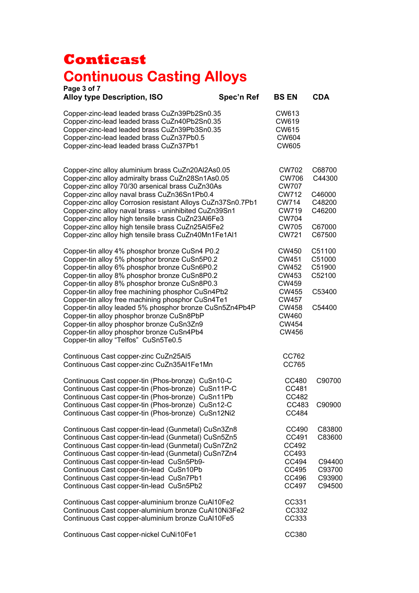| Page 3 of 7<br><b>Alloy type Description, ISO</b>                                                                                                                                                                                                                                                        | Spec'n Ref | <b>BS EN</b>                                                                          | <b>CDA</b>                                     |
|----------------------------------------------------------------------------------------------------------------------------------------------------------------------------------------------------------------------------------------------------------------------------------------------------------|------------|---------------------------------------------------------------------------------------|------------------------------------------------|
| Copper-zinc-lead leaded brass CuZn39Pb2Sn0.35<br>Copper-zinc-lead leaded brass CuZn40Pb2Sn0.35<br>Copper-zinc-lead leaded brass CuZn39Pb3Sn0.35<br>Copper-zinc-lead leaded brass CuZn37Pb0.5<br>Copper-zinc-lead leaded brass CuZn37Pb1                                                                  |            | CW613<br>CW619<br><b>CW615</b><br><b>CW604</b><br><b>CW605</b>                        |                                                |
| Copper-zinc alloy aluminium brass CuZn20Al2As0.05<br>Copper-zinc alloy admiralty brass CuZn28Sn1As0.05<br>Copper-zinc alloy 70/30 arsenical brass CuZn30As<br>Copper-zinc alloy naval brass CuZn36Sn1Pb0.4<br>Copper-zinc alloy Corrosion resistant Alloys CuZn37Sn0.7Pb1                                |            | CW702<br><b>CW706</b><br><b>CW707</b><br>CW712<br>CW714<br><b>CW719</b>               | C68700<br>C44300<br>C46000<br>C48200<br>C46200 |
| Copper-zinc alloy naval brass - uninhibited CuZn39Sn1<br>Copper-zinc alloy high tensile brass CuZn23Al6Fe3<br>Copper-zinc alloy high tensile brass CuZn25Al5Fe2<br>Copper-zinc alloy high tensile brass CuZn40Mn1Fe1Al1                                                                                  |            | <b>CW704</b><br><b>CW705</b><br><b>CW721</b>                                          | C67000<br>C67500                               |
| Copper-tin alloy 4% phosphor bronze CuSn4 P0.2<br>Copper-tin alloy 5% phosphor bronze CuSn5P0.2<br>Copper-tin alloy 6% phosphor bronze CuSn6P0.2<br>Copper-tin alloy 8% phosphor bronze CuSn8P0.2<br>Copper-tin alloy 8% phosphor bronze CuSn8P0.3                                                       |            | <b>CW450</b><br><b>CW451</b><br><b>CW452</b><br><b>CW453</b><br>CW459                 | C51100<br>C51000<br>C51900<br>C52100           |
| Copper-tin alloy free machining phosphor CuSn4Pb2<br>Copper-tin alloy free machining phosphor CuSn4Te1<br>Copper-tin alloy leaded 5% phosphor bronze CuSn5Zn4Pb4P<br>Copper-tin alloy phosphor bronze CuSn8PbP<br>Copper-tin alloy phosphor bronze CuSn3Zn9<br>Copper-tin alloy phosphor bronze CuSn4Pb4 |            | <b>CW455</b><br><b>CW457</b><br><b>CW458</b><br><b>CW460</b><br>CW454<br><b>CW456</b> | C53400<br>C54400                               |
| Copper-tin alloy "Telfos" CuSn5Te0.5<br>Continuous Cast copper-zinc CuZn25Al5<br>Continuous Cast copper-zinc CuZn35Al1Fe1Mn                                                                                                                                                                              |            | CC762<br>CC765                                                                        |                                                |
| Continuous Cast copper-tin (Phos-bronze) CuSn10-C<br>Continuous Cast copper-tin (Phos-bronze) CuSn11P-C<br>Continuous Cast copper-tin (Phos-bronze) CuSn11Pb                                                                                                                                             |            | CC480<br>CC481<br>CC482                                                               | C90700                                         |
| Continuous Cast copper-tin (Phos-bronze) CuSn12-C<br>Continuous Cast copper-tin (Phos-bronze) CuSn12Ni2                                                                                                                                                                                                  |            | CC483<br>CC484                                                                        | C90900                                         |
| Continuous Cast copper-tin-lead (Gunmetal) CuSn3Zn8<br>Continuous Cast copper-tin-lead (Gunmetal) CuSn5Zn5<br>Continuous Cast copper-tin-lead (Gunmetal) CuSn7Zn2<br>Continuous Cast copper-tin-lead (Gunmetal) CuSn7Zn4                                                                                 |            | CC490<br>CC491<br>CC492<br>CC493                                                      | C83800<br>C83600                               |
| Continuous Cast copper-tin-lead CuSn5Pb9-<br>Continuous Cast copper-tin-lead CuSn10Pb<br>Continuous Cast copper-tin-lead CuSn7Pb1<br>Continuous Cast copper-tin-lead CuSn5Pb2                                                                                                                            |            | CC494<br>CC495<br>CC496<br>CC497                                                      | C94400<br>C93700<br>C93900<br>C94500           |
| Continuous Cast copper-aluminium bronze CuAl10Fe2<br>Continuous Cast copper-aluminium bronze CuAl10Ni3Fe2<br>Continuous Cast copper-aluminium bronze CuAl10Fe5                                                                                                                                           |            | CC331<br>CC332<br>CC333                                                               |                                                |
| Continuous Cast copper-nickel CuNi10Fe1                                                                                                                                                                                                                                                                  |            | CC380                                                                                 |                                                |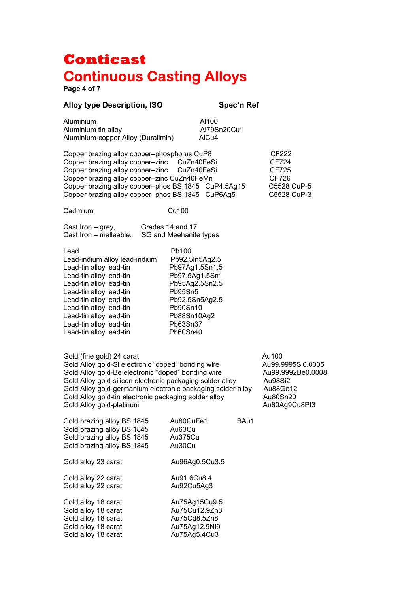**Page 4 of 7** 

#### **Alloy type Description, ISO Spec'n Ref**

| Aluminium                          | AI100       |
|------------------------------------|-------------|
| Aluminium tin alloy                | Al79Sn20Cu1 |
| Aluminium-copper Alloy (Duralimin) | AICu4       |

Copper brazing alloy copper–phosphorus CuP8 CF222 Copper brazing alloy copper–zinc CuZn40FeSi CF724 Copper brazing alloy copper–zinc CuZn40FeSi CF725 Copper brazing alloy copper–zinc CuZn40FeMn CF726<br>Copper brazing alloy copper–phos BS 1845 CuP4.5Ag15 C5528 CuP-5 Copper brazing alloy copper–phos BS 1845 CuP4.5Ag15 C5528 CuP-5<br>Copper brazing alloy copper–phos BS 1845 CuP6Ag5 C5528 CuP-3 Copper brazing alloy copper–phos BS 1845 CuP6Ag5

Cadmium Cd100

| Cast Iron – grey,      | Grades 14 and 17       |
|------------------------|------------------------|
| Cast Iron – malleable, | SG and Meehanite types |

| Lead                          | Pb100          |
|-------------------------------|----------------|
| Lead-indium alloy lead-indium | Pb92.5In5Ag2.5 |
| Lead-tin alloy lead-tin       | Pb97Ag1.5Sn1.5 |
| Lead-tin alloy lead-tin       | Pb97.5Ag1.5Sn1 |
| Lead-tin alloy lead-tin       | Pb95Ag2.5Sn2.5 |
| Lead-tin alloy lead-tin       | Pb95Sn5        |
| Lead-tin alloy lead-tin       | Pb92.5Sn5Ag2.5 |
| Lead-tin alloy lead-tin       | Pb90Sn10       |
| Lead-tin alloy lead-tin       | Pb88Sn10Ag2    |
| Lead-tin alloy lead-tin       | Pb63Sn37       |
| Lead-tin alloy lead-tin       | Pb60Sn40       |
|                               |                |

Gold (fine gold) 24 carat Au100 Gold Alloy gold-Si electronic "doped" bonding wire Au99.9995Si0.0005 Gold Alloy gold-Be electronic "doped" bonding wire Au99.9992Be0.0008 Gold Alloy gold-silicon electronic packaging solder alloy Au98Si2<br>Gold Alloy gold-germanium electronic packaging solder alloy Au88Ge12 Gold Alloy gold-germanium electronic packaging solder alloy Gold Alloy gold-tin electronic packaging solder alloy Au80Sn20 Gold Alloy gold-platinum and the control of the Au80Ag9Cu8Pt3

| Gold brazing alloy BS 1845<br>Gold brazing alloy BS 1845<br>Gold brazing alloy BS 1845<br>Gold brazing alloy BS 1845 | Au80CuFe1<br>Au63Cu<br>Au375Cu<br>Au30Cu                                        | BAu1 |
|----------------------------------------------------------------------------------------------------------------------|---------------------------------------------------------------------------------|------|
| Gold alloy 23 carat                                                                                                  | Au96Ag0.5Cu3.5                                                                  |      |
| Gold alloy 22 carat<br>Gold alloy 22 carat                                                                           | Au91.6Cu8.4<br>Au92Cu5Ag3                                                       |      |
| Gold alloy 18 carat<br>Gold alloy 18 carat<br>Gold alloy 18 carat<br>Gold alloy 18 carat<br>Gold alloy 18 carat      | Au75Ag15Cu9.5<br>Au75Cu12.9Zn3<br>Au75Cd8.5Zn8<br>Au75Ag12.9Ni9<br>Au75Ag5.4Cu3 |      |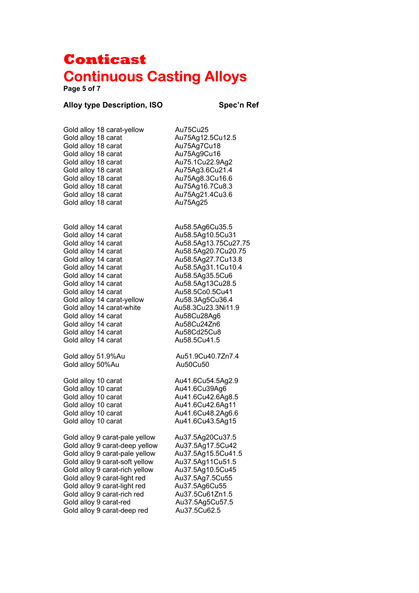**Page 5 of 7** 

### **Alloy type Description, ISO Spec'n Ref**

| Gold alloy 18 carat-yellow     | Au75Cu25             |
|--------------------------------|----------------------|
| Gold alloy 18 carat            | Au75Ag12.5Cu12.5     |
| Gold alloy 18 carat            | Au75Ag7Cu18          |
| Gold alloy 18 carat            | Au75Ag9Cu16          |
| Gold alloy 18 carat            | Au75.1Cu22.9Ag2      |
| Gold alloy 18 carat            | Au75Ag3.6Cu21.4      |
| Gold alloy 18 carat            | Au75Ag8.3Cu16.6      |
| Gold alloy 18 carat            | Au75Ag16.7Cu8.3      |
| Gold alloy 18 carat            | Au75Ag21.4Cu3.6      |
| Gold alloy 18 carat            | Au75Ag25             |
| Gold alloy 14 carat            | Au58.5Ag6Cu35.5      |
| Gold alloy 14 carat            | Au58.5Ag10.5Cu31     |
| Gold alloy 14 carat            | Au58.5Ag13.75Cu27.75 |
| Gold alloy 14 carat            | Au58.5Ag20.7Cu20.75  |
| Gold alloy 14 carat            | Au58.5Ag27.7Cu13.8   |
| Gold alloy 14 carat            | Au58.5Ag31.1Cu10.4   |
| Gold alloy 14 carat            | Au58.5Ag35.5Cu6      |
| Gold alloy 14 carat            | Au58.5Ag13Cu28.5     |
| Gold alloy 14 carat            | Au58.5Co0.5Cu41      |
| Gold alloy 14 carat-yellow     | Au58.3Ag5Cu36.4      |
| Gold alloy 14 carat-white      | Au58.3Cu23.3Ni11.9   |
| Gold alloy 14 carat            | Au58Cu28Ag6          |
| Gold alloy 14 carat            | Au58Cu24Zn6          |
| Gold alloy 14 carat            | Au58Cd25Cu8          |
| Gold alloy 14 carat            | Au58.5Cu41.5         |
| Gold alloy 51.9%Au             | Au51.9Cu40.7Zn7.4    |
| Gold alloy 50%Au               | Au50Cu50             |
| Gold alloy 10 carat            | Au41.6Cu54.5Ag2.9    |
| Gold alloy 10 carat            | Au41.6Cu39Ag6        |
| Gold alloy 10 carat            | Au41.6Cu42.6Ag8.5    |
| Gold alloy 10 carat            | Au41.6Cu42.6Ag11     |
| Gold alloy 10 carat            | Au41.6Cu48.2Ag6.6    |
| Gold alloy 10 carat            | Au41.6Cu43.5Ag15     |
| Gold alloy 9 carat-pale yellow | Au37.5Ag20Cu37.5     |
| Gold alloy 9 carat-deep yellow | Au37.5Ag17.5Cu42     |
| Gold alloy 9 carat-pale yellow | Au37.5Ag15.5Cu41.5   |
| Gold alloy 9 carat-soft yellow | Au37.5Ag11Cu51.5     |
| Gold alloy 9 carat-rich yellow | Au37.5Ag10.5Cu45     |
| Gold alloy 9 carat-light red   | Au37.5Ag7.5Cu55      |
| Gold alloy 9 carat-light red   | Au37.5Ag6Cu55        |
| Gold alloy 9 carat-rich red    | Au37.5Cu61Zn1.5      |
| Gold alloy 9 carat-red         | Au37.5Ag5Cu57.5      |
| Gold alloy 9 carat-deep red    | Au37.5Cu62.5         |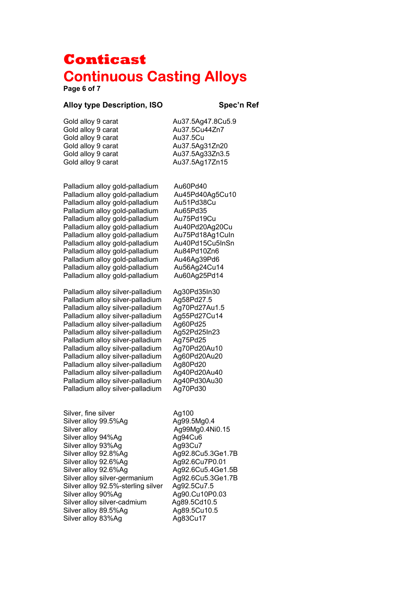**Page 6 of 7** 

#### Alloy type Description, ISO **Spec'n Ref**

Gold alloy 9 carat Au37.5Ag47.8Cu5.9 Gold alloy 9 carat Au37.5Cu44Zn7 Gold alloy 9 carat Au37.5Cu

Gold alloy 9 carat Au37.5Ag31Zn20 Gold alloy 9 carat Au37.5Ag33Zn3.5 Gold alloy 9 carat Au37.5Ag17Zn15

Palladium alloy gold-palladium Au60Pd40 Palladium alloy gold-palladium Au45Pd40Ag5Cu10 Palladium alloy gold-palladium Au51Pd38Cu Palladium alloy gold-palladium Au65Pd35 Palladium alloy gold-palladium Au75Pd19Cu Palladium alloy gold-palladium Au40Pd20Ag20Cu Palladium alloy gold-palladium Au75Pd18Ag1CuIn Palladium alloy gold-palladium Au40Pd15Cu5InSn Palladium alloy gold-palladium Au84Pd10Zn6 Palladium alloy gold-palladium Au46Ag39Pd6 Palladium alloy gold-palladium Au56Ag24Cu14<br>Palladium alloy gold-palladium Au60Ag25Pd14 Palladium alloy gold-palladium

Palladium alloy silver-palladium Ag30Pd35In30 Palladium alloy silver-palladium Ag58Pd27.5 Palladium alloy silver-palladium Ag70Pd27Au1.5 Palladium alloy silver-palladium Ag55Pd27Cu14 Palladium alloy silver-palladium Ag60Pd25 Palladium alloy silver-palladium Ag52Pd25In23 Palladium alloy silver-palladium Ag75Pd25 Palladium alloy silver-palladium Ag70Pd20Au10 Palladium alloy silver-palladium Ag60Pd20Au20 Palladium alloy silver-palladium Ag80Pd20 Palladium alloy silver-palladium Ag40Pd20Au40 Palladium alloy silver-palladium Ag40Pd30Au30 Palladium alloy silver-palladium Ag70Pd30

Silver, fine silver **Ag100** Silver alloy 99.5%Ag Ag99.5Mg0.4 Silver alloy Ag99Mg0.4Ni0.15 Silver alloy 94%Ag Ag94Cu6 Silver alloy 93%Ag Ag93Cu7 Silver alloy 92.8%Ag Ag92.8Cu5.3Ge1.7B Silver alloy 92.6%Ag Ag92.6Cu7P0.01 Silver alloy 92.6%Ag Ag92.6Cu5.4Ge1.5B Silver alloy silver-germanium Ag92.6Cu5.3Ge1.7B Silver alloy 92.5%-sterling silver Ag92.5Cu7.5 Silver alloy 90%Ag Ag90.Cu10P0.03 Silver alloy silver-cadmium Ag89.5Cd10.5 Silver alloy 89.5%Ag Ag89.5Cu10.5 Silver alloy 83%Ag Ag83Cu17